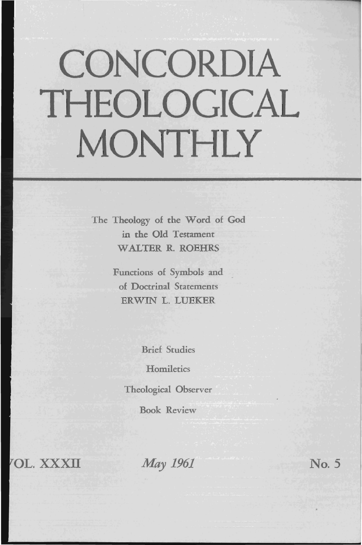## **CONCORDIA THEOLOGICAL MONTHLY**

The Theology of the Word of God in the Old Testament WALTER R. ROEHRS

> Functions of Symbols and of Doctrinal Statements ERWIN L. LUEKER

> > Brief Studies **Homiletics** Theological Observer Book Review

**TOL. XXXII** 

*May 1961* No. 5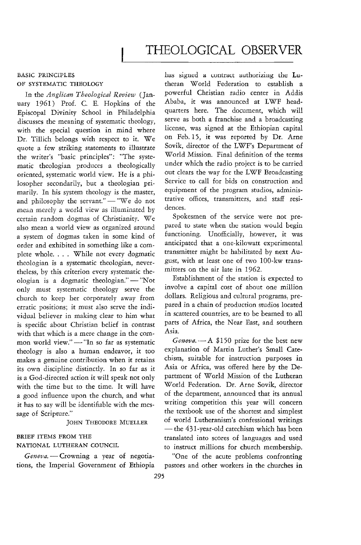## BASIC PRINCIPLES OF SYSTEMATIC THEOLOGY

In the *Anglican Theological Review* (January 1961) Prof. C. E. Hopkins of the Episcopal Divinity School in Philadelphia discusses the meaning of systematic theology, with the special question in mind where Dr. Tillich belongs with respect to it. We quote a few striking statements to illustrate the writer's "basic principles": "The systematic theologian produces a theologically oriented, systematic world view. He is a philosopher secondarily, but a theologian primarily. In his system theology is the master, and philosophy the servant." - "We do not mean merely a world view as illuminated by certain random dogmas of Christianity. We also mean a world view as organized around a system of dogmas taken in some kind of order and exhibited in something like a complete whole. . . . While not every dogmatic theologian is a systematic theologian, nevertheless, by this criterion every systematic theologian is a dogmatic theologian." $-$  "Not only must systematic theology serve the church to keep her corporately away from erratic positions; it must also serve the individual believer in making clear to him what is specific about Christian belief in contrast with that which is a mere change in the common world view." - "In so far as systematic theology is also a human endeavor, it too makes a genuine contribution when it retains its own discipline distinctly. In so far as it is a God-directed action it will speak not only with the time but to the time. It will have a good influence upon the church, and what it has to say will be identifiable with the message of Scripture."

JOHN THEODORE MUELLER

## BRIEF ITEMS FROM THE

## NATIONAL LUTHERAN COUNCIL

*Geneva.* - Crowning a year of negotia- "One of the acute problems confronting

has signed a contract authorizing the Lutheran World Federation to establish a powerful Christian radio center in Addis Ababa, it was announced at LWF headquarters here. The document, which will serve as both a franchise and a broadcasting license, was signed at the Ethiopian capital on Feb. 15, it was reported by Dr. Arne Sovik, director of the LWF's Department of World Mission. Final definition of the terms under which the radio project is to be carried out clears the way for the LWF Broadcasting Service to call for bids on construction and equipment of the program studios, administrative offices, transmitters, and staff residences.

Spokesmen of the service were not prepared to state when the station would begin functioning. Unofficially, however, it was anticipated that a one-kilowatt experimental transmitter might be habilitated by next August, with at least one of two 100-kw transmitters on the air late in 1962.

Establishment of the station is expected to involve a capital cost of about one million dollars. Religious and cultural programs, prepared in a chain of production studios located in scattered countries, are to be beamed to all parts of Africa, the Near East, and southern Asia.

 $Geneva. - A $150$  prize for the best new explanation of Martin Luther's Small Catechism, suitable for instruction purposes in Asia or Africa, was offered here by the Department of World Mission of the Lutheran World Federation. Dr. Arne Sovik, director of the department, announced that its annual writing competition this year will concern the textbook use of the shortest and simplest of world Lutheranism's confessional writings -the 431-year-old catechism which has been translated into scores of languages and used to instruct millions for church membership.

tions, the Imperial Government of Ethiopia pastors and other workers in the churches in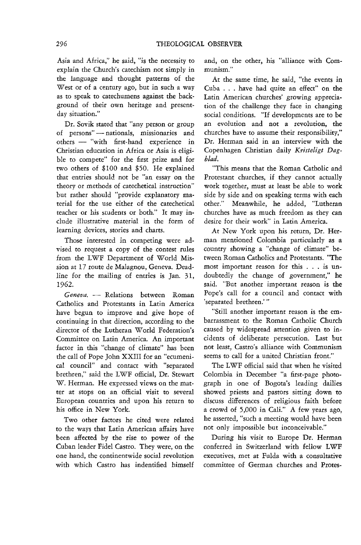Asia and Africa," he said, "is the necessity to explain the Church's catechism not simply in the language and thought patterns of the West or of a century ago, but in such a way as to speak to catechumens against the background of their own heritage and presentday situation."

Dr. Sovik stated that "any person or group of persons" - nationals, missionaries and others - "with first-hand experience in Christian education in Africa or Asia is eligible to compete" for the first prize and for two others of \$100 and \$50. He explained that entries should not be "an essay on the theory or methods of catechetical instruction" but rather should "provide explanatory material for the use either of the catechetical teacher or his students or both." It may include illustrative material in the form of learning devices, stories and charts.

Those interested in competing were advised to request a copy of the contest rules from the LWF Department of World Mission at 17 route de Malagnou, Geneva. Deadline for the mailing of entries is Jan. 31, 1962.

*Geneva.* - Relations between Roman Catholics and Protestants in Latin America have begun to improve and give hope of continuing in that direction, according to the director of the Lutheran World Federation's Committee on Latin America. An important factor in this "change of climate" has been the call of Pope John XXIII for an "ecumenical council" and contact with "separated brethren," said the LWF official, Dr. Stewart W. Herman. He expressed views on the matter at stops on an official visit to several European countries and upon his return to his office in New York.

Two other factors he cited were related to the ways that Latin American affairs have been affected by the rise to power of the Cuban leader Fidel Castro. They were, on the one hand, the continentwide social revolution with which Castro has indentified himself and, on the other, his "alliance with Communism."

At the same time, he said, "the events in Cuba . . . have had quite an effect" on the Latin American churches' growing appreciation of the challenge they face in changing social conditions. "If developments are to be an evolution and not a revolution, the churches have to assume their responsibility," Dr. Herman said in an interview with the Copenhagen Christian daily Kristeligt Dag*blad.* 

"This means that the Roman Catholic and Protestant churches, if they cannot actually work together, must at least be able to work side by side and on speaking terms with each other." Meanwhile, he added, "Lutheran churches have as much freedom as they can desire for their work" in Latin America.

At New York upon his return, Dr. Herman mentioned Colombia particularly as a country showing a "change of climate" between Roman Catholics and Protestants. "The most important reason for this ... is undoubtedly the change of government," he said. "But another important reason is the Pope's call for a council and contact with 'separated brethren.'"

"Still another important reason is the embarrassment to the Roman Catholic Church caused by widespread attention given to incidents of deliberate persecution. Last but not least, Castro's alliance with Communism seems to call for a united Christian front."

The LWF official said that when he visited Colombia in December "a first-page photograph in one of Bogota's leading dailies showed priests and pastors sitting down to discuss differences of religious faith before a crowd of 5,000 in Cali." A few years ago, he asserted, "such a meeting would have been not only impossible but inconceivable."

During his *visit* to Europe Dr. Herman conferred in Switzerland with fellow LWF executives, met at Fulda with a consultative *committee* of German churches and Protes-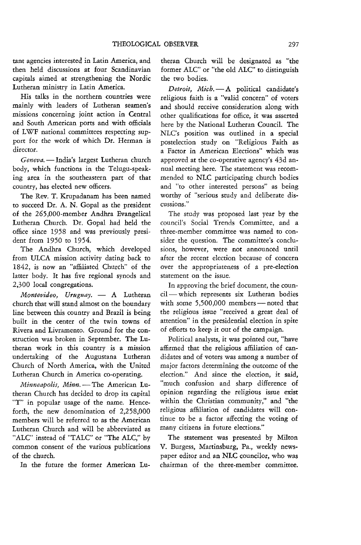tant agencies interested in Latin America, and then held discussions at four Scandinavian capitals aimed at strengthening the Nordic Lutheran ministry in Latin America.

His talks in the northern countries were mainly with leaders of Lutheran seamen's missions concerning joint action in Central and South American ports and with officials of LWF national committees respecting support for the work of which Dr. Herman is director.

*Geneva.* - India's largest Lutheran church body, which functions in the Telugu-speaking area in the southeastern part of that country, has elected new officers.

The Rev. T. Krupadanam has been named to succeed Dr. A. N. Gopal as the president of the 265,000-member Andhra Evangelical Lutheran Church. Dr. Gopal had held the office since 1958 and was previously president from 1950 to 1954.

The Andhra Church, which developed from ULCA mission activity dating back to 1842, is now an "affiliated Church" of the latter body. It has five regional synods and 2,300 local congregations.

*Montevideo, Uruguay.* - A Lutheran church that will stand almost on the boundary line between this country and Brazil is being built in the center of the twin towns of Rivera and Livramento. Ground for the construction was broken in September. The Lutheran work in this country is a mission undertaking of the Augustana Lutheran Church of North America, with the United Lutheran Church in America co-operating.

*Minneapolis, Minn.* - The American Lutheran Church has decided to drop its capital "T" in popular usage of the name. Henceforth, the new denomination of 2,258,000 members will be referred to as the American Lutheran Church and will be abbreviated as "ALC" instead of "TALC" or "The ALC," by common consent of the various publications of the church.

In the future the former American Lu-

theran Church will be designated as "the former ALC" or "the old ALC" to distinguish the two bodies.

Detroit, Mich. - A political candidate's religious faith is a "valid concern" of voters and should receive consideration along with other qualifications for office, it was asserted here by the National Lutheran Council. The NLC's position was outlined in a special postelection study on "Religious Faith as a Factor in American Elections" which was approved at the co-operative agency's 43d annual meeting here. The statement was recommended to NLC participating church bodies and "to other interested persons" as being worthy of "serious study and deliberate discussions."

The study was proposed last year by the council's Social Trends Committee, and a three-member committee was named to consider the question. The committee's conclusions, however, were not announced until after the recent election because of concern over the appropriateness of a pre-election statement on the issue.

In approving the brief document, the council- which represents six Lutheran bodies with some  $5,500,000$  members - noted that the religious issue "received a great deal of attention" in the presidential election in spite of efforts to keep it out of the campaign.

Political analysts, it was pointed out, "have affirmed that the religious affiliation of candidates and of voters was among a number of major factors determining the outcome of the election." And since the election, it said, "much confusion and sharp difference of opinion regarding the religious issue exist within the Christian community," and "the religious affiliation of candidates will continue to be a factor affecting the voting of many citizens in future elections."

The statement was presented by Milton V. Burgess, Martinsburg, Pa., weekly newspaper editor and an NLC councilor, who was chairman of the three-member committee.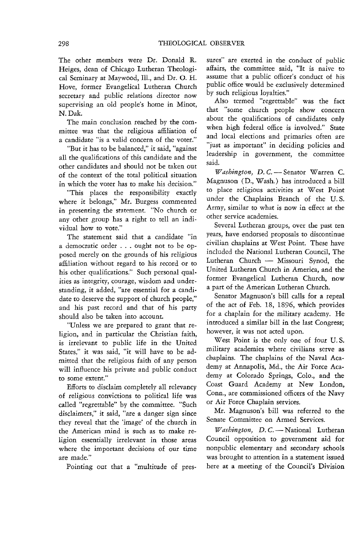The other members were Dr. Donald R. Heiges, dean of Chicago Lutheran Theological Seminary at Maywood, IlL, and Dr. O. H. Hove, former Evangelical Lutheran Church secretary and public relations director now supervising an old people's home in Minot, N.Dak.

The main conclusion reached by the committee was that the religious affiliation of a candidate "is a valid concern of the voter."

"But it has to be balanced," it said, "against all the qualifications of this candidate and the other candidates and should not be taken out of the context of the total political situation in which the voter has to make his decision."

"This places the responsibility exactly where it belongs," Mr. Burgess commented in presenting the statement. "No church or any other group has a right to tell an individual how to vote."

The statement said that a candidate "in a democratic order ... ought not to be opposed merely on the grounds of his religious affiliation without regard to his record or to his other qualifications." Such personal qualities as integrity, courage, wisdom and understanding, it added, "are essential for a candidate to deserve the support of church people," and his past record and that of his party should also be taken into account.

"Unless we are prepared to grant that religion, and in particular the Christian faith, is irrelevant to public life in the United States," it was said, "it will have to be admitted that the religious faith of any person will influence his private and public conduct to some extent."

Efforts to disclaim completely all relevancy of religious convictions to political life was called "regrettable" by the committee. "Such disclaimers," it said, "are a danger sign since they reveal that the 'image' of the church in the American mind is such as to make religion essentially irrelevant in those areas where the important decisions of our time are made."

Pointing out that a "multitude of pres-

sures" are exerted in the conduct of public affairs, the committee said, "It is naive to assume that a public officer's conduct of his public office would be exclusively determined by such religious loyalties."

Also termed "regrettable" was the fact that "some church people show concern about the qualifications of candidates only when high federal office is involved." State and local elections and primaries often are "just as important" in deciding policies and leadership in government, the committee said.

*Washington, D.C.* - Senator Warren C. Magnuson (D., Wash.) has introduced a bill to place religious activities at West Point under the Chaplains Branch of the U. S. Army, similar to what is now in effect at the other service academies.

Several Lutheran groups, over the past ten years, have endorsed proposals to discontinue civilian chaplains at West Point. These have included the National Lutheran Council, The Lutheran Church - Missouri Synod, the United Lutheran Church in America, and the former Evangelical Lutheran Church, now a part of the American Lutheran Church.

Senator Magnuson's bill calls for a repeal of the act of Feb. 18, 1896, which provides for a chaplain for the military academy. He introduced a similar bill in the last Congress; however, it was not acted upon.

West Point is the only one of four U. S. military academies where civilians serve as chaplains. The chaplains of the Naval Academy at Annapolis, Md., the Air Force Academy at Colorado Springs, Colo., and the Coast Guard Academy at New London, Conn., are commissioned officers of the Navy or Air Force Chaplain services.

Mr. Magnuson's bill was referred to the Senate Committee on Armed Services.

*Washington, D.C.* - National Lutheran Council opposition to government aid for nonpublic elementary and secondary schools was brought to attention in a statement issued here at a meeting of the Council's Division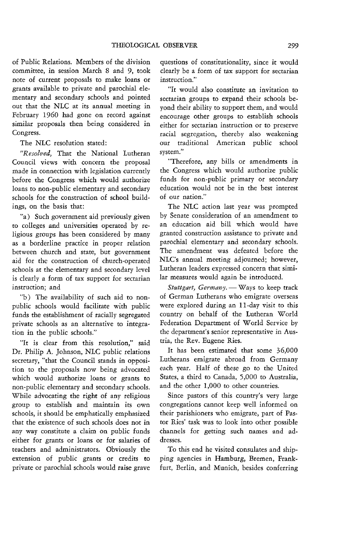of Public Relations. Members of the division committee, in session March 8 and 9, took note of current proposals to make loans or grants available to private and parochial elementary and secondary schools and pointed out that the NLC at its annual meeting in February 1960 had gone on record against similar proposals then being considered in Congress.

The NLC resolution stated:

*"Resolved,* That the National Lutheran Council views with concern the proposal made in connection with legislation currently before the Congress which would authorize loans to non-public elementary and secondary schools for the construction of school buildings, on the basis that:

"a) Such government aid previously given to colleges and universities operated by religious groups has been considered by many as a borderline practice in proper relation between church and state, but government aid for the construction of church-operated schools at the elementary and secondary level is clearly a form of tax support for sectarian instruction; and

"b) The availability of such aid to nonpublic schools would facilitate with public funds the establishment of racially segregated private schools as an alternative to integration in the public schools."

"It is clear from this resolution," said Dr. Philip A. Johnson, NLC public relations secretary, "that the Council stands in opposition to the proposals now being advocated which would authorize loans or grants to non-public elementary and secondary schools. While advocating the right of any religious group to establish and maintain its own schools, it should be emphatically emphasized that the existence of such schools does not in any way constitute a claim on public funds either for grants or loans or for salaries of teachers and administrators. Obviously the extension of public grants or credits to private or parochial schools would raise grave questions of constitutionality, since it would clearly be a form of tax support for sectarian instruction."

"It would also constitute an invitation to sectarian groups to expand their schools beyond their ability to support them, and would encourage other groups to establish schools either for sectarian instruction or to preserve racial segregation, thereby also weakening our traditional American public school system."

"Therefore, any bills or amendments in the Congress which would authorize public funds for non-public primary or secondary education would not be in the best interest of our nation."

The NLC action last year was prompted by Senate consideration of an amendment to an education aid bill which would have granted construction assistance to private and parochial elementary and secondary schools. The amendment was defeated before the NLC's annual meeting adjourned; however, Lutheran leaders expressed concern that similar measures would again be introduced.

*Stuttgart, Germany.* - Ways to keep track of German Lutherans who emigrate overseas were explored during an II-day visit to this country on behalf of the Lutheran World Federation Department of World Service by the department's senior representative in Austria, the Rev. Eugene Ries.

It has been estimated that some 36,000 Lutherans emigrate abroad from Germany each year. Half of these go to the United States, a third to Canada, 5,000 to Australia, and the other 1,000 to other countries.

Since pastors of this country's very large congregations cannot keep well informed on their parishioners who emigrate, part of Pastor Ries' task was to look into other possible channels for getting such names and addresses.

To this end he visited consulates and shipping agencies in Hamburg, Bremen, Frankfurt, Berlin, and Munich, besides conferring